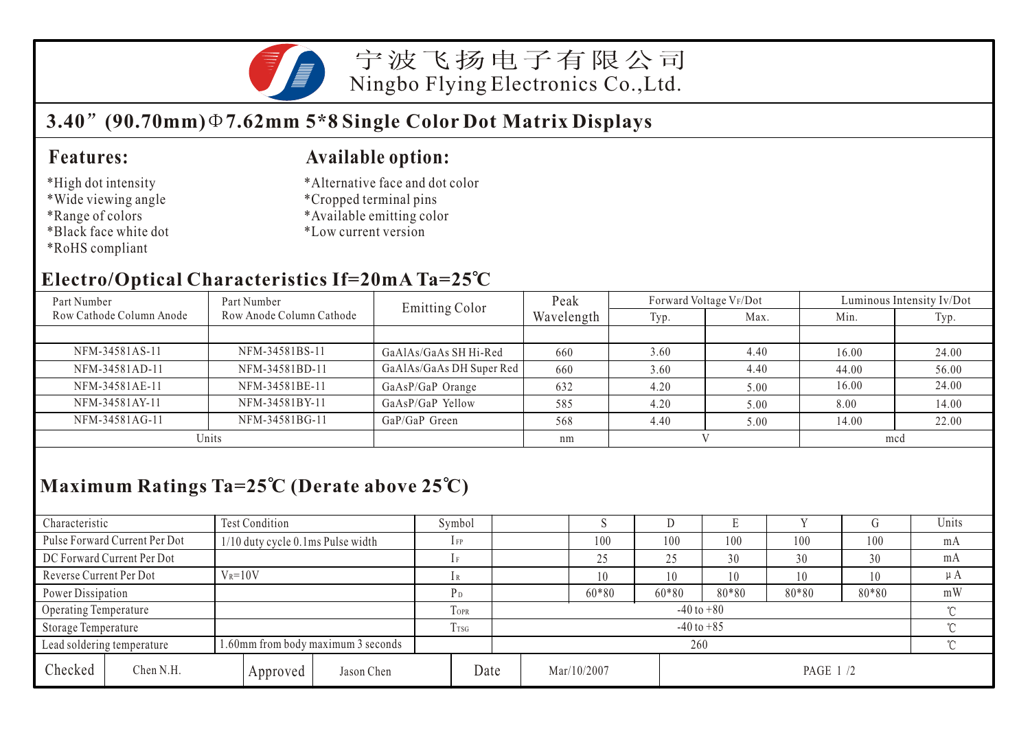

宁波飞扬电子有限公司 Ningbo Flying Electronics Co.,Ltd.

## **3.40 (90.70mm) 7.62mm 5\*8 Single Color Dot Matrix Displays**

#### **Features:**

- \*High dot intensity
- \*Wide viewing angle
- \*Range of colors
- \*Black face white dot
- \*RoHS compliant

#### **Available option:**

- \*Alternative face and dot color
- \*Cropped terminal pins
- \*Available emitting color
- \*Low current version

#### **Electro/Optical Characteristics If=20mA Ta=25 C**

| Part Number              | Part Number              | <b>Emitting Color</b>    | Peak       | Forward Voltage VF/Dot |      | Luminous Intensity Iv/Dot |       |  |
|--------------------------|--------------------------|--------------------------|------------|------------------------|------|---------------------------|-------|--|
| Row Cathode Column Anode | Row Anode Column Cathode |                          | Wavelength | Typ.                   | Max. | Min.                      | Typ.  |  |
|                          |                          |                          |            |                        |      |                           |       |  |
| NFM-34581AS-11           | NFM-34581BS-11           | GaAlAs/GaAs SH Hi-Red    | 660        | 3.60                   | 4.40 | 16.00                     | 24.00 |  |
| NFM-34581AD-11           | NFM-34581BD-11           | GaAlAs/GaAs DH Super Red | 660        | 3.60                   | 4.40 | 44.00                     | 56.00 |  |
| NFM-34581AE-11           | NFM-34581BE-11           | GaAsP/GaP Orange         | 632        | 4.20                   | 5.00 | 16.00                     | 24.00 |  |
| NFM-34581AY-11           | NFM-34581BY-11           | GaAsP/GaP Yellow         | 585        | 4.20                   | 5.00 | 8.00                      | 14.00 |  |
| NFM-34581AG-11           | NFM-34581BG-11           | GaP/GaP Green            | 568        | 4.40                   | 5.00 | 14.00                     | 22.00 |  |
| Units                    |                          | nm                       |            |                        | mcd  |                           |       |  |

## **Maximum Ratings Ta=25 C (Derate above 25 C)**

| Characteristic          |                               | <b>Test Condition</b>              |          |                            | Symbol |     |  |             |         |                 |       |       | Units    |
|-------------------------|-------------------------------|------------------------------------|----------|----------------------------|--------|-----|--|-------------|---------|-----------------|-------|-------|----------|
|                         | Pulse Forward Current Per Dot | 1/10 duty cycle 0.1ms Pulse width  |          |                            | 1 FP   |     |  | 100         | 100     | 100             | 100   | 100   | mA       |
|                         | DC Forward Current Per Dot    |                                    |          |                            |        |     |  | 25          | 25      | 30              | 30    | 30    | mA       |
| Reverse Current Per Dot |                               | $V_R = 10V$                        |          |                            |        |     |  | 10          | 10      | 10              | 10    | 10    | $\mu$ A  |
| Power Dissipation       |                               |                                    |          |                            | Pв     |     |  | $60*80$     | $60*80$ | 80*80           | 80*80 | 80*80 | mW       |
| Operating Temperature   |                               |                                    | TOPR     | $-40$ to $+80$<br>$\gamma$ |        |     |  |             |         |                 |       |       |          |
| Storage Temperature     |                               |                                    | Trsg     | $-40$ to $+85$<br>$\sim$   |        |     |  |             |         |                 |       |       |          |
|                         | Lead soldering temperature    | 1.60mm from body maximum 3 seconds |          |                            |        | 260 |  |             |         |                 |       |       | $\gamma$ |
| Checked                 | Chen N.H.                     |                                    | Approved | Jason Chen                 | Date   |     |  | Mar/10/2007 |         | <b>PAGE 1/2</b> |       |       |          |